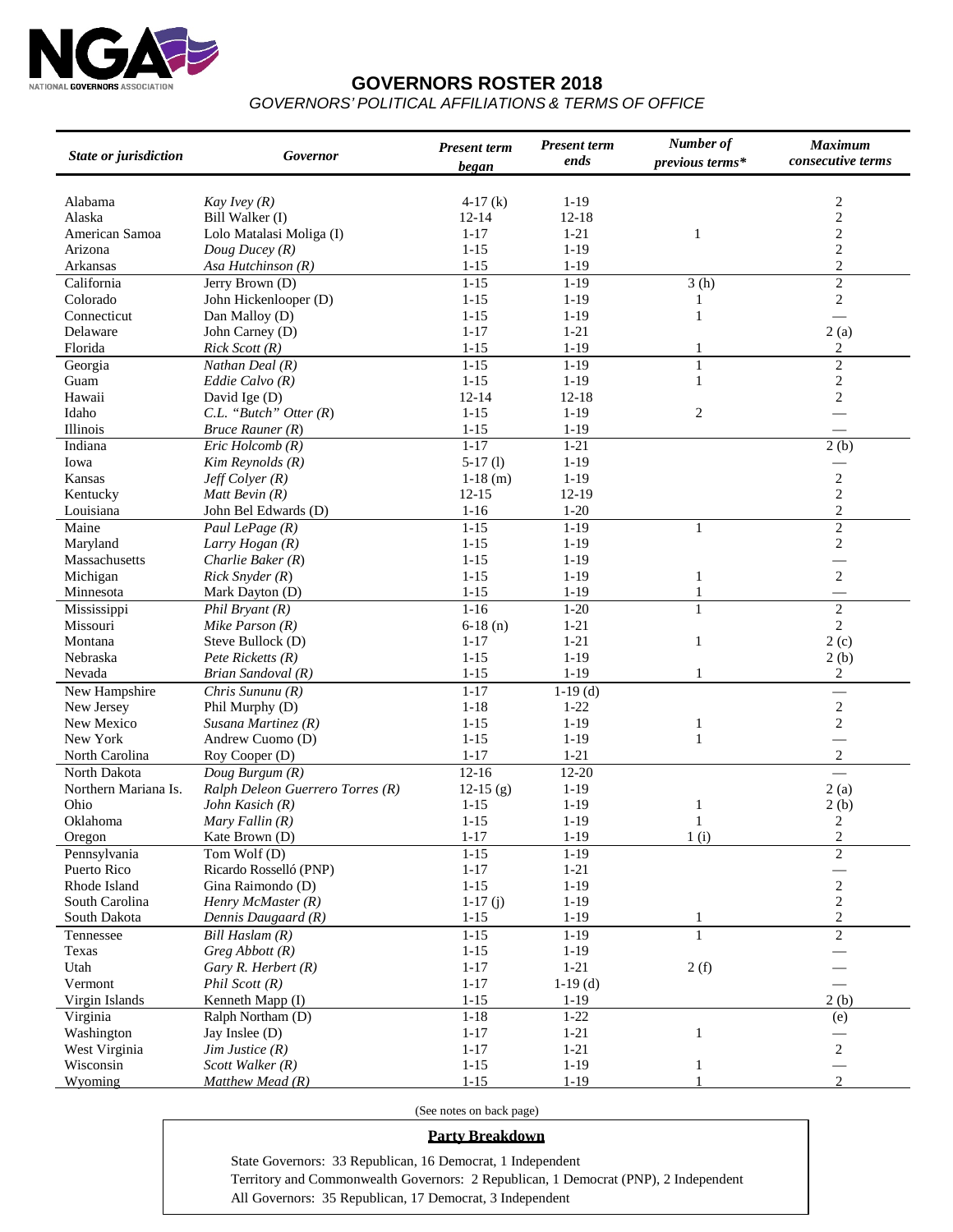

### **GOVERNORS ROSTER 2018**

*GOVERNORS' POLITICAL AFFILIATIONS & TERMS OF OFFICE*

| State or jurisdiction | Governor                         | <b>Present term</b><br>began | <b>Present term</b><br>ends | Number of<br>previous terms* | <b>Maximum</b><br>consecutive terms |
|-----------------------|----------------------------------|------------------------------|-----------------------------|------------------------------|-------------------------------------|
|                       |                                  |                              |                             |                              |                                     |
| Alabama               | Kay Ivey $(R)$                   | $4-17(k)$                    | $1-19$                      |                              | $\frac{2}{2}$                       |
| Alaska                | Bill Walker (I)                  | $12 - 14$                    | $12 - 18$                   |                              |                                     |
| American Samoa        | Lolo Matalasi Moliga (I)         | $1 - 17$                     | $1 - 21$                    | 1                            | $\overline{c}$                      |
| Arizona               | Doug Ducey $(R)$                 | $1 - 15$                     | $1 - 19$                    |                              | $\sqrt{2}$                          |
| Arkansas              | Asa Hutchinson (R)               | $1 - 15$                     | $1-19$                      |                              | $\overline{2}$                      |
| California            | Jerry Brown (D)                  | $1 - 15$                     | $1-19$                      | 3(h)                         | $\overline{2}$                      |
| Colorado              | John Hickenlooper (D)            | $1 - 15$                     | $1-19$                      | 1                            | $\sqrt{2}$                          |
| Connecticut           | Dan Malloy (D)                   | $1 - 15$                     | $1 - 19$                    | $\mathbf{1}$                 |                                     |
| Delaware              | John Carney (D)                  | $1 - 17$                     | $1 - 21$                    |                              | 2(a)                                |
| Florida               | Rick Scott (R)                   | $1 - 15$                     | $1 - 19$                    | 1                            | 2                                   |
| Georgia               | Nathan Deal (R)                  | $1 - 15$                     | $1 - 19$                    | $\mathbf{1}$                 | $\overline{2}$                      |
| Guam                  | Eddie Calvo $(R)$                | $1 - 15$                     | $1 - 19$                    | $\mathbf{1}$                 | $\overline{c}$                      |
| Hawaii                | David Ige (D)                    | $12 - 14$                    | $12-18$                     |                              | $\sqrt{2}$                          |
| Idaho                 | $C.L.$ "Butch" Otter $(R)$       | $1 - 15$                     | $1 - 19$                    | $\overline{2}$               |                                     |
| Illinois              | Bruce Rauner (R)                 | $1 - 15$                     | $1 - 19$                    |                              |                                     |
| Indiana               | Eric Holcomb (R)                 | $1 - 17$                     | $1-21$                      |                              | 2(b)                                |
| Iowa                  | Kim Reynolds (R)                 | $5-17(l)$                    | $1 - 19$                    |                              |                                     |
| Kansas                | $J$ eff Colyer (R)               | $1-18$ (m)                   | $1 - 19$                    |                              | $\overline{\mathbf{c}}$             |
| Kentucky              | Matt Bevin $(R)$                 | $12 - 15$                    | 12-19                       |                              | $\overline{c}$                      |
| Louisiana             | John Bel Edwards (D)             | $1 - 16$                     | $1 - 20$                    |                              | $\sqrt{2}$                          |
| Maine                 | Paul LePage (R)                  | $1 - 15$                     | $1-19$                      | $\mathbf{1}$                 | $\overline{2}$                      |
| Maryland              | Larry Hogan (R)                  | $1 - 15$                     | $1-19$                      |                              | $\mathbf{2}$                        |
| Massachusetts         | Charlie Baker $(R)$              | $1 - 15$                     | $1 - 19$                    |                              |                                     |
| Michigan              | $Rick$ Snyder $(R)$              | $1 - 15$                     | $1 - 19$                    | $\mathbf{1}$                 | $\sqrt{2}$                          |
| Minnesota             | Mark Dayton (D)                  | $1 - 15$                     | $1 - 19$                    | $\mathbf{1}$                 |                                     |
| Mississippi           | Phil Bryant $(R)$                | $1 - 16$                     | $1 - 20$                    | $\mathbf{1}$                 | $\sqrt{2}$                          |
| Missouri              | Mike Parson $(R)$                | $6-18(n)$                    | $1 - 21$                    |                              | $\overline{c}$                      |
| Montana               | Steve Bullock (D)                | $1 - 17$                     | $1 - 21$                    | $\mathbf{1}$                 | 2(c)                                |
| Nebraska              | Pete Ricketts (R)                | $1 - 15$                     | $1 - 19$                    |                              | 2(b)                                |
| Nevada                | Brian Sandoval (R)               | $1 - 15$                     | $1 - 19$                    | 1                            | $\boldsymbol{2}$                    |
| New Hampshire         | Chris Sununu (R)                 | $1 - 17$                     | $1-19$ (d)                  |                              |                                     |
| New Jersey            | Phil Murphy (D)                  | $1 - 18$                     | $1 - 22$                    |                              | $\overline{\mathbf{c}}$             |
| New Mexico            | Susana Martinez $(R)$            | $1 - 15$                     | $1 - 19$                    | 1                            | $\overline{c}$                      |
| New York              | Andrew Cuomo (D)                 | $1 - 15$                     | $1 - 19$                    | $\mathbf{1}$                 |                                     |
| North Carolina        | Roy Cooper (D)                   | $1 - 17$                     | $1 - 21$                    |                              | $\sqrt{2}$                          |
| North Dakota          | Doug Burgum (R)                  | $12 - 16$                    | $12 - 20$                   |                              |                                     |
| Northern Mariana Is.  | Ralph Deleon Guerrero Torres (R) | $12-15(g)$                   | $1-19$                      |                              | 2(a)                                |
| Ohio                  | John Kasich (R)                  | $1 - 15$                     | $1-19$                      | 1                            | 2(b)                                |
| Oklahoma              | Mary Fallin $(R)$                | $1 - 15$                     | $1 - 19$                    | $\mathbf{1}$                 | $\overline{2}$                      |
| Oregon                | Kate Brown (D)                   | $1 - 17$                     | $1 - 19$                    | 1(i)                         | $\overline{2}$                      |
| Pennsylvania          | Tom Wolf (D)                     | $1 - 15$                     | $1 - 19$                    |                              | $\overline{2}$                      |
| Puerto Rico           | Ricardo Rosselló (PNP)           | $1 - 17$                     | $1 - 21$                    |                              |                                     |
| Rhode Island          | Gina Raimondo (D)                | $1 - 15$                     | $1-19$                      |                              | $\frac{1}{2}$                       |
| South Carolina        | Henry McMaster $(R)$             | $1-17(j)$                    | $1 - 19$                    |                              | $\overline{\mathbf{c}}$             |
| South Dakota          | Dennis Daugaard (R)              | $1 - 15$                     | $1-19$                      | $\mathbf{1}$                 | $\boldsymbol{2}$                    |
| Tennessee             | Bill Haslam (R)                  | $1 - 15$                     | $1 - 19$                    | $\mathbf{1}$                 | $\overline{2}$                      |
| Texas                 | $Greg\;Abbott\;(R)$              | $1 - 15$                     | $1 - 19$                    |                              |                                     |
| Utah                  | Gary $R$ . Herbert $(R)$         | $1 - 17$                     | $1 - 21$                    | 2(f)                         |                                     |
| Vermont               | Phil Scott (R)                   | $1 - 17$                     | $1-19$ (d)                  |                              |                                     |
| Virgin Islands        | Kenneth Mapp (I)                 | $1 - 15$                     | $1-19$                      |                              | 2(b)                                |
|                       |                                  | $1 - 18$                     | $1 - 22$                    |                              |                                     |
| Virginia              | Ralph Northam (D)                |                              |                             |                              | (e)                                 |
| Washington            | Jay Inslee (D)                   | $1 - 17$                     | $1 - 21$                    | $\,1\,$                      |                                     |
| West Virginia         | $Jim$ Justice $(R)$              | $1 - 17$                     | $1 - 21$                    |                              | $\overline{c}$                      |
| Wisconsin             | Scott Walker (R)                 | $1 - 15$                     | $1-19$                      | 1                            | $\overline{2}$                      |
| Wyoming               | Matthew Mead (R)                 | $1 - 15$                     | $1 - 19$                    |                              |                                     |

(See notes on back page)

#### **Party Breakdown**

State Governors: 33 Republican, 16 Democrat, 1 Independent Territory and Commonwealth Governors: 2 Republican, 1 Democrat (PNP), 2 Independent All Governors: 35 Republican, 17 Democrat, 3 Independent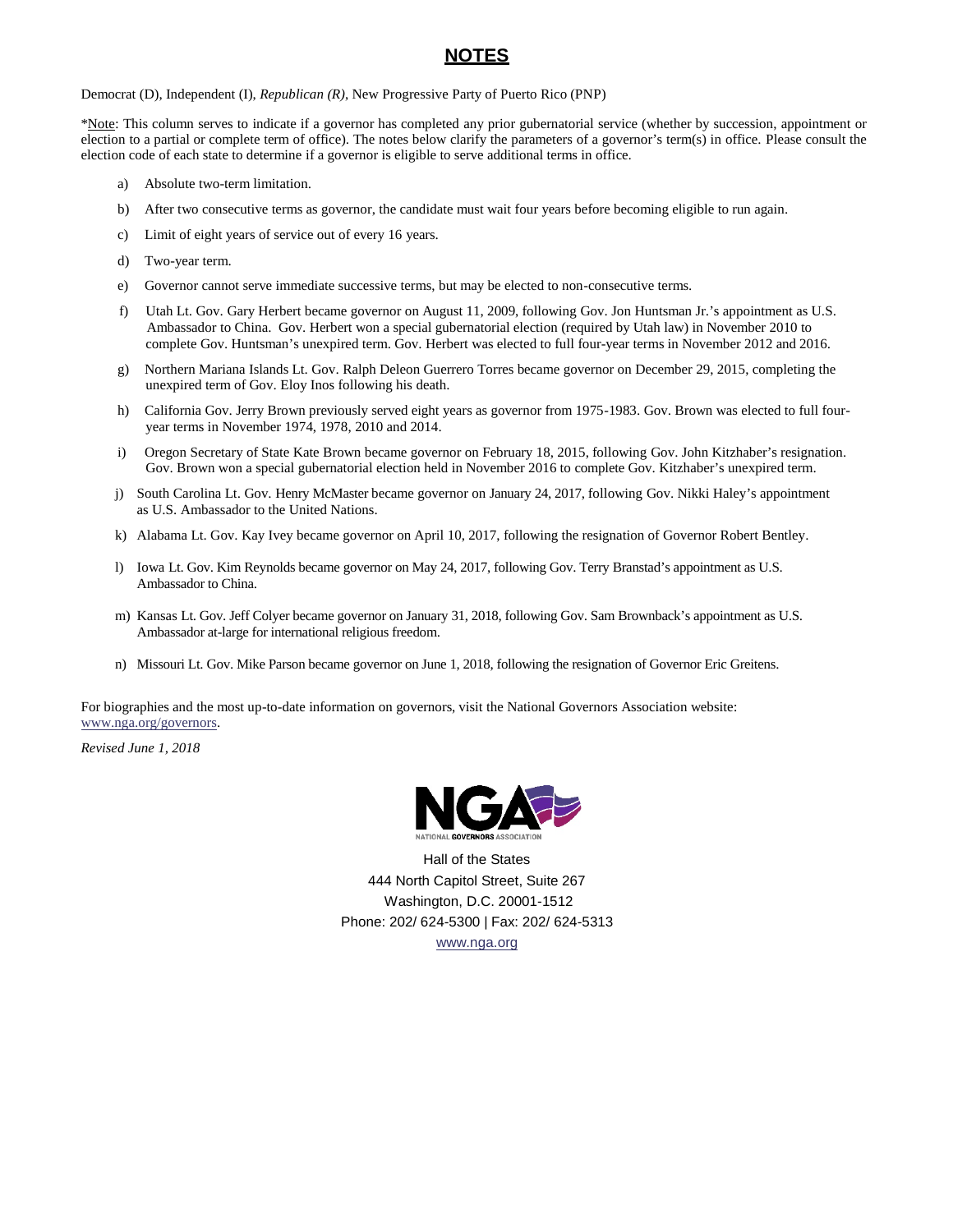# **NOTES**

Democrat (D), Independent (I), *Republican (R)*, New Progressive Party of Puerto Rico (PNP)

\*Note: This column serves to indicate if a governor has completed any prior gubernatorial service (whether by succession, appointment or election to a partial or complete term of office). The notes below clarify the parameters of a governor's term(s) in office. Please consult the election code of each state to determine if a governor is eligible to serve additional terms in office.

- a) Absolute two-term limitation.
- b) After two consecutive terms as governor, the candidate must wait four years before becoming eligible to run again.
- c) Limit of eight years of service out of every 16 years.
- d) Two-year term.
- e) Governor cannot serve immediate successive terms, but may be elected to non-consecutive terms.
- f) Utah Lt. Gov. Gary Herbert became governor on August 11, 2009, following Gov. Jon Huntsman Jr.'s appointment as U.S. Ambassador to China. Gov. Herbert won a special gubernatorial election (required by Utah law) in November 2010 to complete Gov. Huntsman's unexpired term. Gov. Herbert was elected to full four-year terms in November 2012 and 2016.
- g) Northern Mariana Islands Lt. Gov. Ralph Deleon Guerrero Torres became governor on December 29, 2015, completing the unexpired term of Gov. Eloy Inos following his death.
- h) California Gov. Jerry Brown previously served eight years as governor from 1975-1983. Gov. Brown was elected to full fouryear terms in November 1974, 1978, 2010 and 2014.
- i) Oregon Secretary of State Kate Brown became governor on February 18, 2015, following Gov. John Kitzhaber's resignation. Gov. Brown won a special gubernatorial election held in November 2016 to complete Gov. Kitzhaber's unexpired term.
- j) South Carolina Lt. Gov. Henry McMaster became governor on January 24, 2017, following Gov. Nikki Haley's appointment as U.S. Ambassador to the United Nations.
- k) Alabama Lt. Gov. Kay Ivey became governor on April 10, 2017, following the resignation of Governor Robert Bentley.
- l) Iowa Lt. Gov. Kim Reynolds became governor on May 24, 2017, following Gov. Terry Branstad's appointment as U.S. Ambassador to China.
- m) Kansas Lt. Gov. Jeff Colyer became governor on January 31, 2018, following Gov. Sam Brownback's appointment as U.S. Ambassador at-large for international religious freedom.
- n) Missouri Lt. Gov. Mike Parson became governor on June 1, 2018, following the resignation of Governor Eric Greitens.

For biographies and the most up-to-date information on governors, visit the National Governors Association website: [www.nga.org/governors.](http://www.nga.org/governors)

*Revised June 1, 2018*



Hall of the States 444 North Capitol Street, Suite 267 Washington, D.C. 20001-1512 Phone: 202/ 624-5300 | Fax: 202/ 624-5313 [www.nga.org](http://www.nga.org/)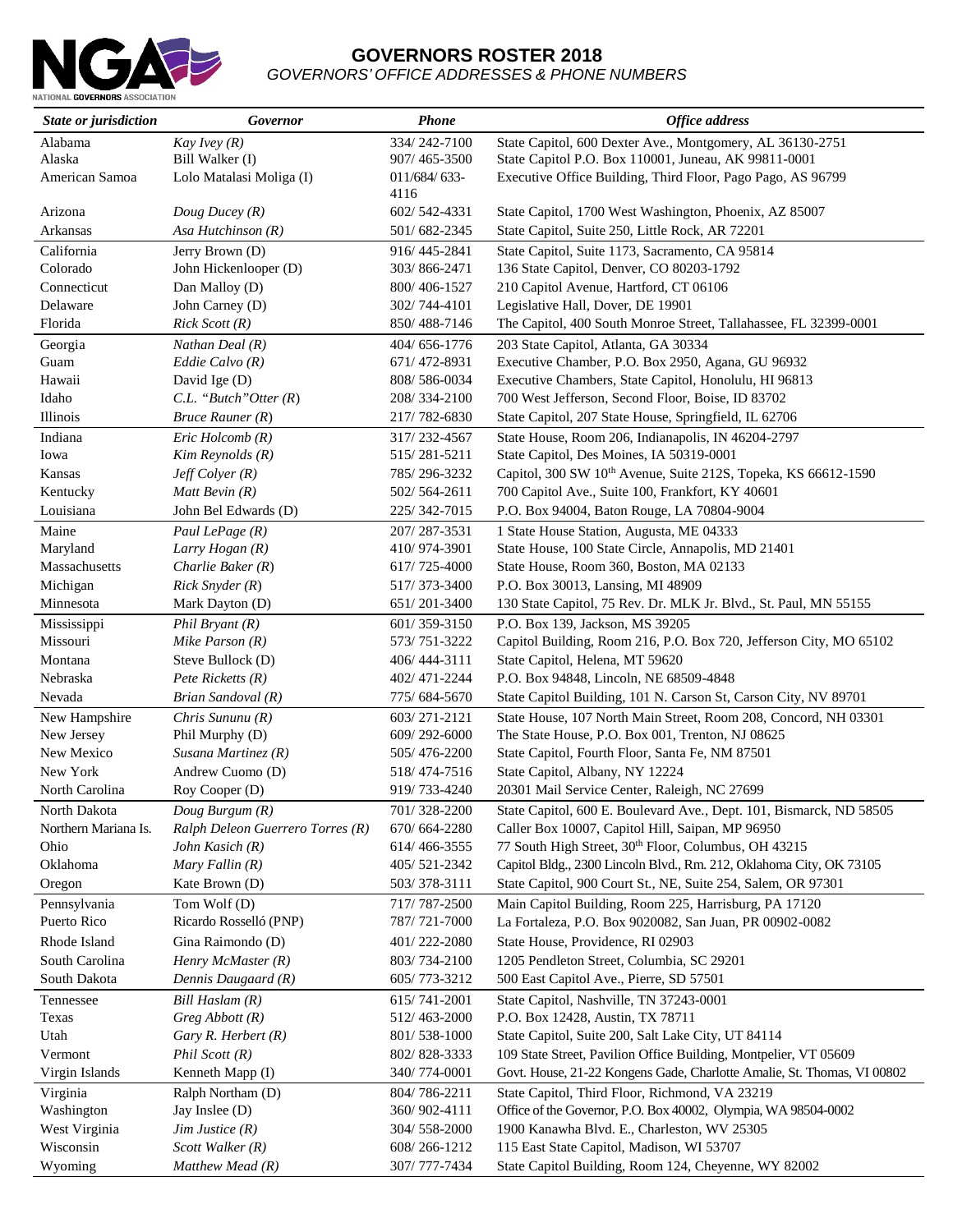

# **GOVERNORS ROSTER 2018** *GOVERNORS' OFFICE ADDRESSES & PHONE NUMBERS*

| State or jurisdiction                | Governor                                              | <b>Phone</b>                 | <b>Office address</b>                                                                                                   |
|--------------------------------------|-------------------------------------------------------|------------------------------|-------------------------------------------------------------------------------------------------------------------------|
| Alabama                              | Kay Ivey $(R)$                                        | 334/242-7100                 | State Capitol, 600 Dexter Ave., Montgomery, AL 36130-2751                                                               |
| Alaska                               | Bill Walker (I)                                       | 907/465-3500                 | State Capitol P.O. Box 110001, Juneau, AK 99811-0001                                                                    |
| American Samoa                       | Lolo Matalasi Moliga (I)                              | 011/684/633-<br>4116         | Executive Office Building, Third Floor, Pago Pago, AS 96799                                                             |
| Arizona                              | Doug Ducey (R)                                        | 602/542-4331                 | State Capitol, 1700 West Washington, Phoenix, AZ 85007                                                                  |
| Arkansas                             | Asa Hutchinson $(R)$                                  | 501/682-2345                 | State Capitol, Suite 250, Little Rock, AR 72201                                                                         |
| California                           | Jerry Brown (D)                                       | 916/445-2841                 | State Capitol, Suite 1173, Sacramento, CA 95814                                                                         |
| Colorado                             | John Hickenlooper (D)                                 | 303/866-2471                 | 136 State Capitol, Denver, CO 80203-1792                                                                                |
| Connecticut                          | Dan Malloy (D)                                        | 800/406-1527                 | 210 Capitol Avenue, Hartford, CT 06106                                                                                  |
| Delaware                             | John Carney (D)                                       | 302/744-4101                 | Legislative Hall, Dover, DE 19901                                                                                       |
| Florida                              | $Rick$ Scott $(R)$                                    | 850/488-7146                 | The Capitol, 400 South Monroe Street, Tallahassee, FL 32399-0001                                                        |
| Georgia                              | Nathan Deal $(R)$                                     | 404/656-1776                 | 203 State Capitol, Atlanta, GA 30334                                                                                    |
| Guam                                 | Eddie Calvo $(R)$                                     | 671/472-8931                 | Executive Chamber, P.O. Box 2950, Agana, GU 96932                                                                       |
| Hawaii                               | David Ige (D)                                         | 808/586-0034                 | Executive Chambers, State Capitol, Honolulu, HI 96813                                                                   |
| Idaho                                | $C.L.$ "Butch" Otter $(R)$                            | 208/334-2100                 | 700 West Jefferson, Second Floor, Boise, ID 83702                                                                       |
| Illinois                             | $Bruce$ Rauner $(R)$                                  | 217/782-6830                 | State Capitol, 207 State House, Springfield, IL 62706                                                                   |
| Indiana                              | Eric Holcomb(R)                                       | 317/232-4567                 | State House, Room 206, Indianapolis, IN 46204-2797                                                                      |
| Iowa                                 | Kim Reynolds (R)                                      | 515/281-5211                 | State Capitol, Des Moines, IA 50319-0001                                                                                |
| Kansas                               | $Jeff$ Colyer $(R)$                                   | 785/296-3232                 | Capitol, 300 SW 10 <sup>th</sup> Avenue, Suite 212S, Topeka, KS 66612-1590                                              |
| Kentucky                             | Matt Bevin $(R)$                                      | 502/564-2611                 | 700 Capitol Ave., Suite 100, Frankfort, KY 40601                                                                        |
| Louisiana                            | John Bel Edwards (D)                                  | 225/342-7015                 | P.O. Box 94004, Baton Rouge, LA 70804-9004                                                                              |
| Maine                                | Paul LePage (R)                                       | 207/287-3531                 | 1 State House Station, Augusta, ME 04333                                                                                |
| Maryland                             | Larry Hogan (R)                                       | 410/974-3901                 | State House, 100 State Circle, Annapolis, MD 21401                                                                      |
| Massachusetts                        | Charlie Baker $(R)$                                   | 617/725-4000                 | State House, Room 360, Boston, MA 02133                                                                                 |
| Michigan                             | $Rick$ Snyder $(R)$                                   | 517/373-3400                 | P.O. Box 30013, Lansing, MI 48909                                                                                       |
| Minnesota                            | Mark Dayton (D)                                       | 651/201-3400                 | 130 State Capitol, 75 Rev. Dr. MLK Jr. Blvd., St. Paul, MN 55155                                                        |
| Mississippi                          | Phil Bryant $(R)$                                     | 601/359-3150                 | P.O. Box 139, Jackson, MS 39205                                                                                         |
| Missouri                             | Mike Parson $(R)$                                     | 573/751-3222                 | Capitol Building, Room 216, P.O. Box 720, Jefferson City, MO 65102                                                      |
| Montana                              | Steve Bullock (D)                                     | 406/444-3111                 | State Capitol, Helena, MT 59620                                                                                         |
| Nebraska                             | Pete Ricketts $(R)$                                   | 402/471-2244                 | P.O. Box 94848, Lincoln, NE 68509-4848                                                                                  |
| Nevada                               | Brian Sandoval (R)                                    | 775/684-5670                 | State Capitol Building, 101 N. Carson St, Carson City, NV 89701                                                         |
| New Hampshire                        | Chris Sununu $(R)$                                    | 603/271-2121                 | State House, 107 North Main Street, Room 208, Concord, NH 03301                                                         |
| New Jersey                           | Phil Murphy (D)                                       | 609/292-6000                 | The State House, P.O. Box 001, Trenton, NJ 08625                                                                        |
| New Mexico<br>New York               | Susana Martinez $(R)$<br>Andrew Cuomo (D)             | 505/476-2200<br>518/474-7516 | State Capitol, Fourth Floor, Santa Fe, NM 87501<br>State Capitol, Albany, NY 12224                                      |
| North Carolina                       | Roy Cooper (D)                                        | 919/733-4240                 | 20301 Mail Service Center, Raleigh, NC 27699                                                                            |
|                                      |                                                       |                              |                                                                                                                         |
| North Dakota<br>Northern Mariana Is. | Doug Burgum $(R)$<br>Ralph Deleon Guerrero Torres (R) | 701/328-2200<br>670/664-2280 | State Capitol, 600 E. Boulevard Ave., Dept. 101, Bismarck, ND 58505<br>Caller Box 10007, Capitol Hill, Saipan, MP 96950 |
| Ohio                                 | John Kasich (R)                                       | 614/466-3555                 | 77 South High Street, 30th Floor, Columbus, OH 43215                                                                    |
| Oklahoma                             | Mary Fallin $(R)$                                     | 405/521-2342                 | Capitol Bldg., 2300 Lincoln Blvd., Rm. 212, Oklahoma City, OK 73105                                                     |
| Oregon                               | Kate Brown (D)                                        | 503/378-3111                 | State Capitol, 900 Court St., NE, Suite 254, Salem, OR 97301                                                            |
| Pennsylvania                         | Tom Wolf (D)                                          | 717/787-2500                 | Main Capitol Building, Room 225, Harrisburg, PA 17120                                                                   |
| Puerto Rico                          | Ricardo Rosselló (PNP)                                | 787/721-7000                 | La Fortaleza, P.O. Box 9020082, San Juan, PR 00902-0082                                                                 |
| Rhode Island                         | Gina Raimondo (D)                                     | 401/222-2080                 | State House, Providence, RI 02903                                                                                       |
| South Carolina                       | Henry McMaster $(R)$                                  | 803/734-2100                 | 1205 Pendleton Street, Columbia, SC 29201                                                                               |
| South Dakota                         | Dennis Daugaard (R)                                   | 605/773-3212                 | 500 East Capitol Ave., Pierre, SD 57501                                                                                 |
| Tennessee                            | Bill Haslam $(R)$                                     | 615/741-2001                 | State Capitol, Nashville, TN 37243-0001                                                                                 |
| Texas                                | $Greg\; Abbott\;(R)$                                  | 512/463-2000                 | P.O. Box 12428, Austin, TX 78711                                                                                        |
| Utah                                 | Gary R. Herbert $(R)$                                 | 801/538-1000                 | State Capitol, Suite 200, Salt Lake City, UT 84114                                                                      |
| Vermont                              | Phil Scott $(R)$                                      | 802/828-3333                 | 109 State Street, Pavilion Office Building, Montpelier, VT 05609                                                        |
| Virgin Islands                       | Kenneth Mapp (I)                                      | 340/774-0001                 | Govt. House, 21-22 Kongens Gade, Charlotte Amalie, St. Thomas, VI 00802                                                 |
| Virginia                             | Ralph Northam (D)                                     | 804/786-2211                 | State Capitol, Third Floor, Richmond, VA 23219                                                                          |
| Washington                           | Jay Inslee (D)                                        | 360/902-4111                 | Office of the Governor, P.O. Box 40002, Olympia, WA 98504-0002                                                          |
| West Virginia                        | $Jim$ Justice $(R)$                                   | 304/558-2000                 | 1900 Kanawha Blvd. E., Charleston, WV 25305                                                                             |
| Wisconsin                            | Scott Walker $(R)$                                    | 608/266-1212                 | 115 East State Capitol, Madison, WI 53707                                                                               |
| Wyoming                              | Matthew Mead $(R)$                                    | 307/777-7434                 | State Capitol Building, Room 124, Cheyenne, WY 82002                                                                    |